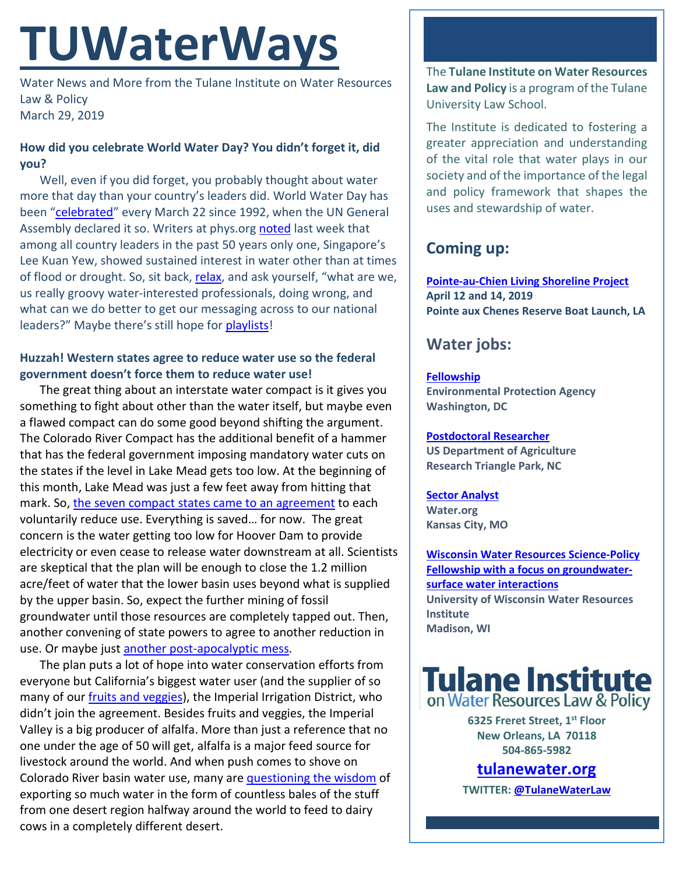# **TUWaterWays**

Water News and More from the Tulane Institute on Water Resources Law & Policy March 29, 2019

### **How did you celebrate World Water Day? You didn't forget it, did you?**

Well, even if you did forget, you probably thought about water more that day than your country's leaders did. World Water Day has been ["celebrated"](https://media.giphy.com/media/7ZjmsISzWnreE/giphy.gif) every March 22 since 1992, when the UN General Assembly declared it so. Writers at phys.or[g noted](https://phys.org/news/2019-03-issues-world-leaders.html) last week that among all country leaders in the past 50 years only one, Singapore's Lee Kuan Yew, showed sustained interest in water other than at times of flood or drought. So, sit back, [relax,](https://gizmodo.com/here-is-an-important-scientific-study-about-how-animals-1833641652) and ask yourself, "what are we, us really groovy water-interested professionals, doing wrong, and what can we do better to get our messaging across to our national leaders?" Maybe there's still hope for [playlists!](https://www.tulanewater.org/playlists)

### **Huzzah! Western states agree to reduce water use so the federal government doesn't force them to reduce water use!**

The great thing about an interstate water compact is it gives you something to fight about other than the water itself, but maybe even a flawed compact can do some good beyond shifting the argument. The Colorado River Compact has the additional benefit of a hammer that has the federal government imposing mandatory water cuts on the states if the level in Lake Mead gets too low. At the beginning of this month, Lake Mead was just a few feet away from hitting that mark. So, [the seven compact states came to an agreement](https://www.nytimes.com/2019/03/19/climate/colorado-river-water.html) to each voluntarily reduce use. Everything is saved… for now. The great concern is the water getting too low for Hoover Dam to provide electricity or even cease to release water downstream at all. Scientists are skeptical that the plan will be enough to close the 1.2 million acre/feet of water that the lower basin uses beyond what is supplied by the upper basin. So, expect the further mining of fossil groundwater until those resources are completely tapped out. Then, another convening of state powers to agree to another reduction in use. Or maybe just [another post-apocalyptic mess.](https://www.youtube.com/watch?v=_O2MbGWpHYI)

The plan puts a lot of hope into water conservation efforts from everyone but California's biggest water user (and the supplier of so many of our *fruits and veggies*), the Imperial Irrigation District, who didn't join the agreement. Besides fruits and veggies, the Imperial Valley is a big producer of alfalfa. More than just a reference that no one under the age of 50 will get, alfalfa is a major feed source for livestock around the world. And when push comes to shove on Colorado River basin water use, many are [questioning the wisdom](https://www.theguardian.com/us-news/2019/mar/25/california-water-drought-scarce-saudi-arabia) of exporting so much water in the form of countless bales of the stuff from one desert region halfway around the world to feed to dairy cows in a completely different desert.

The **Tulane Institute on Water Resources Law and Policy** is a program of the Tulane University Law School.

The Institute is dedicated to fostering a greater appreciation and understanding of the vital role that water plays in our society and of the importance of the legal and policy framework that shapes the uses and stewardship of water.

# **Coming up:**

**[Pointe-au-Chien Living Shoreline Project](https://www.eventbrite.com/o/coalition-to-restore-coastal-louisiana-17172605631) April 12 and 14, 2019 Pointe aux Chenes Reserve Boat Launch, LA** 

# **Water jobs:**

## **[Fellowship](https://www.zintellect.com/Opportunity/Details/EPA-Water-2019-0007)**

**Environmental Protection Agency Washington, DC**

#### **[Postdoctoral Researcher](https://www.joshswaterjobs.com/jobs/13364) US Department of Agriculture Research Triangle Park, NC**

**[Sector Analyst](https://water.org/careers/sector-analyst-sector-engagement-team/) Water.org Kansas City, MO**

**[Wisconsin Water Resources Science-Policy](https://www.cuahsi.org/community/job-board/wisconsin-water-resources-science-policy-fellowship-with-a-focus-on-groundwater-surface-water-interactions)  [Fellowship with a focus on groundwater](https://www.cuahsi.org/community/job-board/wisconsin-water-resources-science-policy-fellowship-with-a-focus-on-groundwater-surface-water-interactions)[surface water interactions](https://www.cuahsi.org/community/job-board/wisconsin-water-resources-science-policy-fellowship-with-a-focus-on-groundwater-surface-water-interactions) University of Wisconsin Water Resources Institute Madison, WI**

**Tulane Institute** on Water Resources Law & Policy

> **6325 Freret Street, 1st Floor New Orleans, LA 70118 504-865-5982**

# **tulanewater.org**

**TWITTER[: @TulaneWaterLaw](http://www.twitter.com/TulaneWaterLaw)**